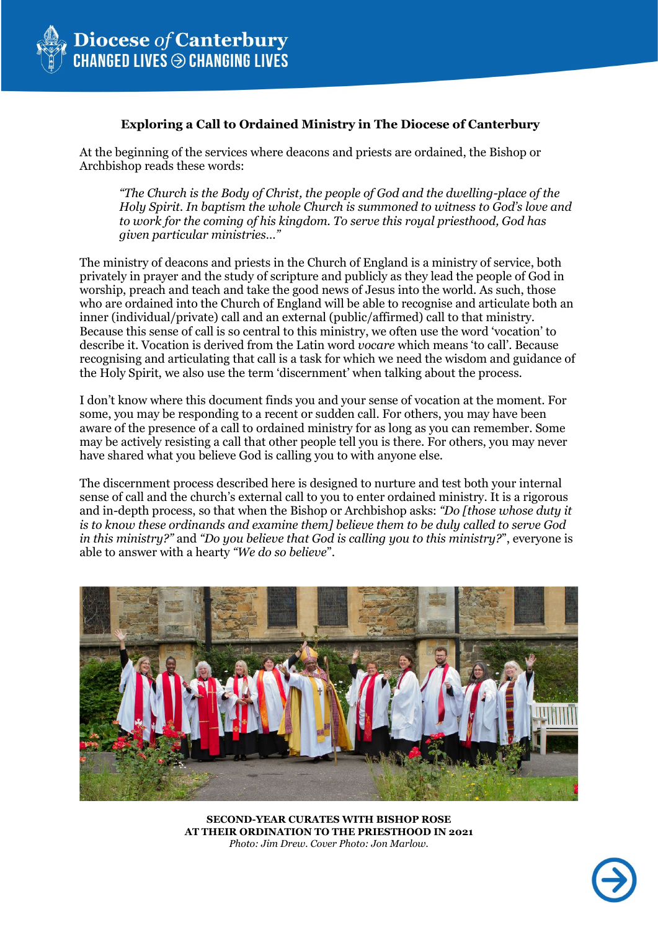

### **Exploring a Call to Ordained Ministry in The Diocese of Canterbury**

At the beginning of the services where deacons and priests are ordained, the Bishop or Archbishop reads these words:

*"The Church is the Body of Christ, the people of God and the dwelling-place of the Holy Spirit. In baptism the whole Church is summoned to witness to God's love and to work for the coming of his kingdom. To serve this royal priesthood, God has given particular ministries…"*

The ministry of deacons and priests in the Church of England is a ministry of service, both privately in prayer and the study of scripture and publicly as they lead the people of God in worship, preach and teach and take the good news of Jesus into the world. As such, those who are ordained into the Church of England will be able to recognise and articulate both an inner (individual/private) call and an external (public/affirmed) call to that ministry. Because this sense of call is so central to this ministry, we often use the word 'vocation' to describe it. Vocation is derived from the Latin word *vocare* which means 'to call'. Because recognising and articulating that call is a task for which we need the wisdom and guidance of the Holy Spirit, we also use the term 'discernment' when talking about the process.

I don't know where this document finds you and your sense of vocation at the moment. For some, you may be responding to a recent or sudden call. For others, you may have been aware of the presence of a call to ordained ministry for as long as you can remember. Some may be actively resisting a call that other people tell you is there. For others, you may never have shared what you believe God is calling you to with anyone else.

The discernment process described here is designed to nurture and test both your internal sense of call and the church's external call to you to enter ordained ministry. It is a rigorous and in-depth process, so that when the Bishop or Archbishop asks: *"Do [those whose duty it is to know these ordinands and examine them] believe them to be duly called to serve God in this ministry?"* and *"Do you believe that God is calling you to this ministry?*", everyone is able to answer with a hearty *"We do so believe*".



**SECOND-YEAR CURATES WITH BISHOP ROSE AT THEIR ORDINATION TO THE PRIESTHOOD IN 2021** *Photo: Jim Drew. Cover Photo: Jon Marlow.*

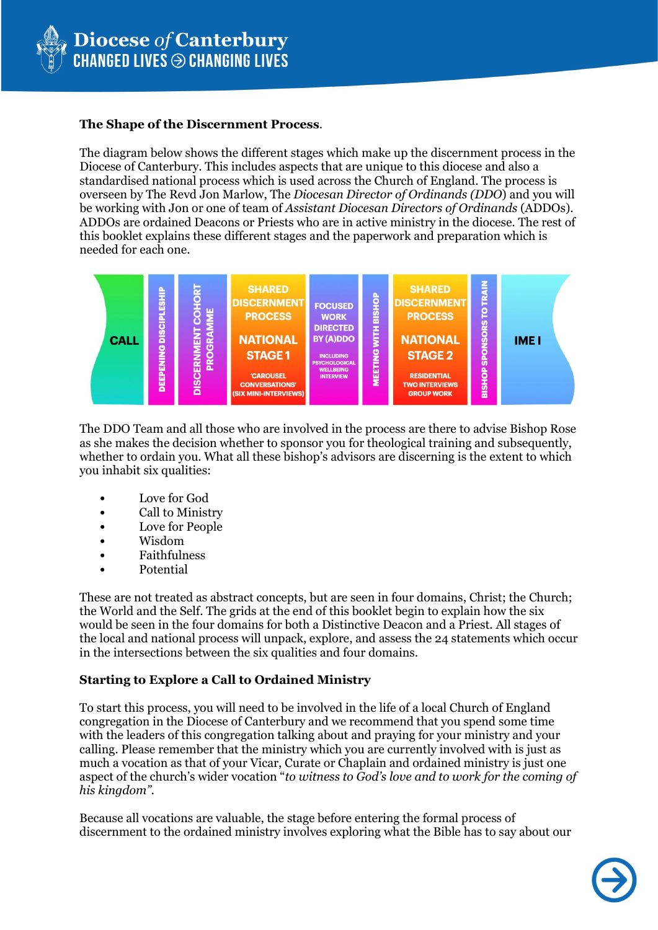

### **The Shape of the Discernment Process**.

The diagram below shows the different stages which make up the discernment process in the Diocese of Canterbury. This includes aspects that are unique to this diocese and also a standardised national process which is used across the Church of England. The process is overseen by The Revd Jon Marlow, The *Diocesan Director of Ordinands (DDO*) and you will be working with Jon or one of team of *Assistant Diocesan Directors of Ordinands* (ADDOs). ADDOs are ordained Deacons or Priests who are in active ministry in the diocese. The rest of this booklet explains these different stages and the paperwork and preparation which is needed for each one.



The DDO Team and all those who are involved in the process are there to advise Bishop Rose as she makes the decision whether to sponsor you for theological training and subsequently, whether to ordain you. What all these bishop's advisors are discerning is the extent to which you inhabit six qualities:

- Love for God
- Call to Ministry
- Love for People
- Wisdom
- Faithfulness
- Potential

These are not treated as abstract concepts, but are seen in four domains, Christ; the Church; the World and the Self. The grids at the end of this booklet begin to explain how the six would be seen in the four domains for both a Distinctive Deacon and a Priest. All stages of the local and national process will unpack, explore, and assess the 24 statements which occur in the intersections between the six qualities and four domains.

# **Starting to Explore a Call to Ordained Ministry**

To start this process, you will need to be involved in the life of a local Church of England congregation in the Diocese of Canterbury and we recommend that you spend some time with the leaders of this congregation talking about and praying for your ministry and your calling. Please remember that the ministry which you are currently involved with is just as much a vocation as that of your Vicar, Curate or Chaplain and ordained ministry is just one aspect of the church's wider vocation "*to witness to God's love and to work for the coming of his kingdom".*

Because all vocations are valuable, the stage before entering the formal process of discernment to the ordained ministry involves exploring what the Bible has to say about our

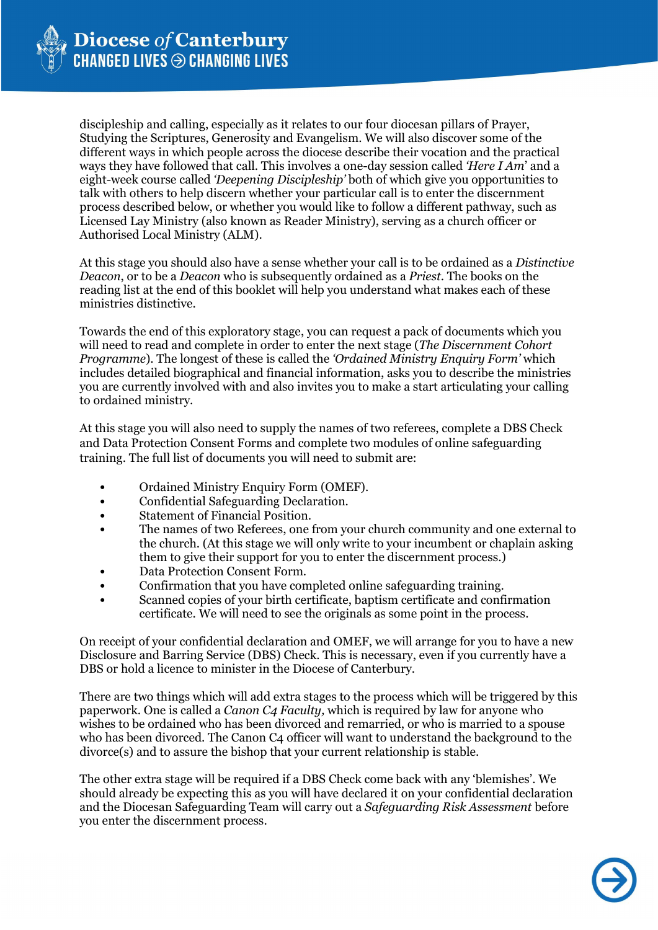

discipleship and calling, especially as it relates to our four diocesan pillars of Prayer, Studying the Scriptures, Generosity and Evangelism. We will also discover some of the different ways in which people across the diocese describe their vocation and the practical ways they have followed that call. This involves a one-day session called *'Here I Am*' and a eight-week course called *'Deepening Discipleship'* both of which give you opportunities to talk with others to help discern whether your particular call is to enter the discernment process described below, or whether you would like to follow a different pathway, such as Licensed Lay Ministry (also known as Reader Ministry), serving as a church officer or Authorised Local Ministry (ALM).

At this stage you should also have a sense whether your call is to be ordained as a *Distinctive Deacon*, or to be a *Deacon* who is subsequently ordained as a *Priest*. The books on the reading list at the end of this booklet will help you understand what makes each of these ministries distinctive.

Towards the end of this exploratory stage, you can request a pack of documents which you will need to read and complete in order to enter the next stage (*The Discernment Cohort Programme*). The longest of these is called the *'Ordained Ministry Enquiry Form'* which includes detailed biographical and financial information, asks you to describe the ministries you are currently involved with and also invites you to make a start articulating your calling to ordained ministry.

At this stage you will also need to supply the names of two referees, complete a DBS Check and Data Protection Consent Forms and complete two modules of online safeguarding training. The full list of documents you will need to submit are:

- Ordained Ministry Enquiry Form (OMEF).
- Confidential Safeguarding Declaration.
- Statement of Financial Position.
- The names of two Referees, one from your church community and one external to the church. (At this stage we will only write to your incumbent or chaplain asking them to give their support for you to enter the discernment process.)
- Data Protection Consent Form.
- Confirmation that you have completed online safeguarding training.
- Scanned copies of your birth certificate, baptism certificate and confirmation certificate. We will need to see the originals as some point in the process.

On receipt of your confidential declaration and OMEF, we will arrange for you to have a new Disclosure and Barring Service (DBS) Check. This is necessary, even if you currently have a DBS or hold a licence to minister in the Diocese of Canterbury.

There are two things which will add extra stages to the process which will be triggered by this paperwork. One is called a *Canon C4 Faculty,* which is required by law for anyone who wishes to be ordained who has been divorced and remarried, or who is married to a spouse who has been divorced. The Canon C4 officer will want to understand the background to the divorce(s) and to assure the bishop that your current relationship is stable.

The other extra stage will be required if a DBS Check come back with any 'blemishes'. We should already be expecting this as you will have declared it on your confidential declaration and the Diocesan Safeguarding Team will carry out a *Safeguarding Risk Assessment* before you enter the discernment process.

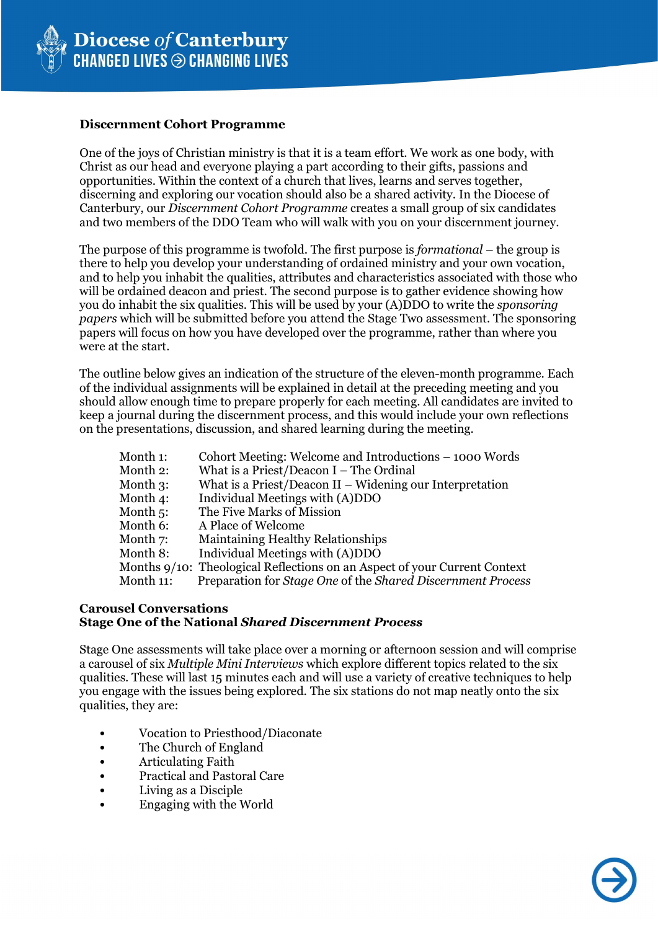

#### **Discernment Cohort Programme**

One of the joys of Christian ministry is that it is a team effort. We work as one body, with Christ as our head and everyone playing a part according to their gifts, passions and opportunities. Within the context of a church that lives, learns and serves together, discerning and exploring our vocation should also be a shared activity. In the Diocese of Canterbury, our *Discernment Cohort Programme* creates a small group of six candidates and two members of the DDO Team who will walk with you on your discernment journey.

The purpose of this programme is twofold. The first purpose is *formational* – the group is there to help you develop your understanding of ordained ministry and your own vocation, and to help you inhabit the qualities, attributes and characteristics associated with those who will be ordained deacon and priest. The second purpose is to gather evidence showing how you do inhabit the six qualities. This will be used by your (A)DDO to write the *sponsoring papers* which will be submitted before you attend the Stage Two assessment. The sponsoring papers will focus on how you have developed over the programme, rather than where you were at the start.

The outline below gives an indication of the structure of the eleven-month programme. Each of the individual assignments will be explained in detail at the preceding meeting and you should allow enough time to prepare properly for each meeting. All candidates are invited to keep a journal during the discernment process, and this would include your own reflections on the presentations, discussion, and shared learning during the meeting.

| Month 1:    | Cohort Meeting: Welcome and Introductions – 1000 Words                    |  |  |  |
|-------------|---------------------------------------------------------------------------|--|--|--|
| Month 2:    | What is a Priest/Deacon $I$ – The Ordinal                                 |  |  |  |
| Month $3$ : | What is a Priest/Deacon $II$ – Widening our Interpretation                |  |  |  |
| Month 4:    | Individual Meetings with (A)DDO                                           |  |  |  |
| Month $5$ : | The Five Marks of Mission                                                 |  |  |  |
| Month 6:    | A Place of Welcome                                                        |  |  |  |
| Month 7:    | Maintaining Healthy Relationships                                         |  |  |  |
| Month 8:    | Individual Meetings with (A)DDO                                           |  |  |  |
|             | Months 9/10: Theological Reflections on an Aspect of your Current Context |  |  |  |
| Month 11:   | Preparation for Stage One of the Shared Discernment Process               |  |  |  |

## **Carousel Conversations Stage One of the National** *Shared Discernment Process*

Stage One assessments will take place over a morning or afternoon session and will comprise a carousel of six *Multiple Mini Interviews* which explore different topics related to the six qualities. These will last 15 minutes each and will use a variety of creative techniques to help you engage with the issues being explored. The six stations do not map neatly onto the six qualities, they are:

- Vocation to Priesthood/Diaconate
- The Church of England
- Articulating Faith
- Practical and Pastoral Care
- Living as a Disciple
- Engaging with the World

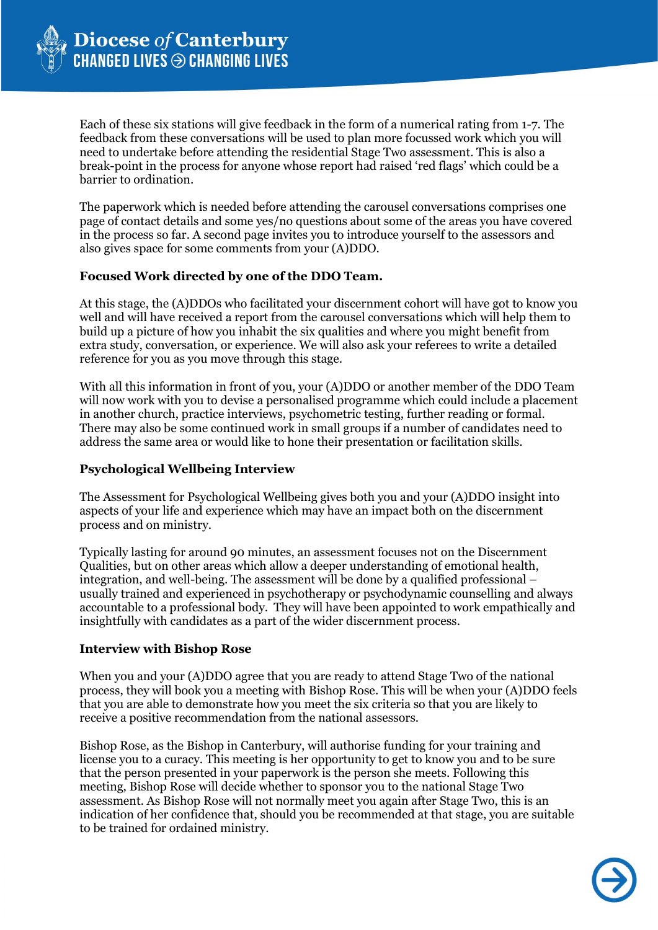

Each of these six stations will give feedback in the form of a numerical rating from 1-7. The feedback from these conversations will be used to plan more focussed work which you will need to undertake before attending the residential Stage Two assessment. This is also a break-point in the process for anyone whose report had raised 'red flags' which could be a barrier to ordination.

The paperwork which is needed before attending the carousel conversations comprises one page of contact details and some yes/no questions about some of the areas you have covered in the process so far. A second page invites you to introduce yourself to the assessors and also gives space for some comments from your (A)DDO.

## **Focused Work directed by one of the DDO Team.**

At this stage, the (A)DDOs who facilitated your discernment cohort will have got to know you well and will have received a report from the carousel conversations which will help them to build up a picture of how you inhabit the six qualities and where you might benefit from extra study, conversation, or experience. We will also ask your referees to write a detailed reference for you as you move through this stage.

With all this information in front of you, your (A)DDO or another member of the DDO Team will now work with you to devise a personalised programme which could include a placement in another church, practice interviews, psychometric testing, further reading or formal. There may also be some continued work in small groups if a number of candidates need to address the same area or would like to hone their presentation or facilitation skills.

# **Psychological Wellbeing Interview**

The Assessment for Psychological Wellbeing gives both you and your (A)DDO insight into aspects of your life and experience which may have an impact both on the discernment process and on ministry.

Typically lasting for around 90 minutes, an assessment focuses not on the Discernment Qualities, but on other areas which allow a deeper understanding of emotional health, integration, and well-being. The assessment will be done by a qualified professional – usually trained and experienced in psychotherapy or psychodynamic counselling and always accountable to a professional body. They will have been appointed to work empathically and insightfully with candidates as a part of the wider discernment process.

# **Interview with Bishop Rose**

When you and your (A)DDO agree that you are ready to attend Stage Two of the national process, they will book you a meeting with Bishop Rose. This will be when your (A)DDO feels that you are able to demonstrate how you meet the six criteria so that you are likely to receive a positive recommendation from the national assessors.

Bishop Rose, as the Bishop in Canterbury, will authorise funding for your training and license you to a curacy. This meeting is her opportunity to get to know you and to be sure that the person presented in your paperwork is the person she meets. Following this meeting, Bishop Rose will decide whether to sponsor you to the national Stage Two assessment. As Bishop Rose will not normally meet you again after Stage Two, this is an indication of her confidence that, should you be recommended at that stage, you are suitable to be trained for ordained ministry.

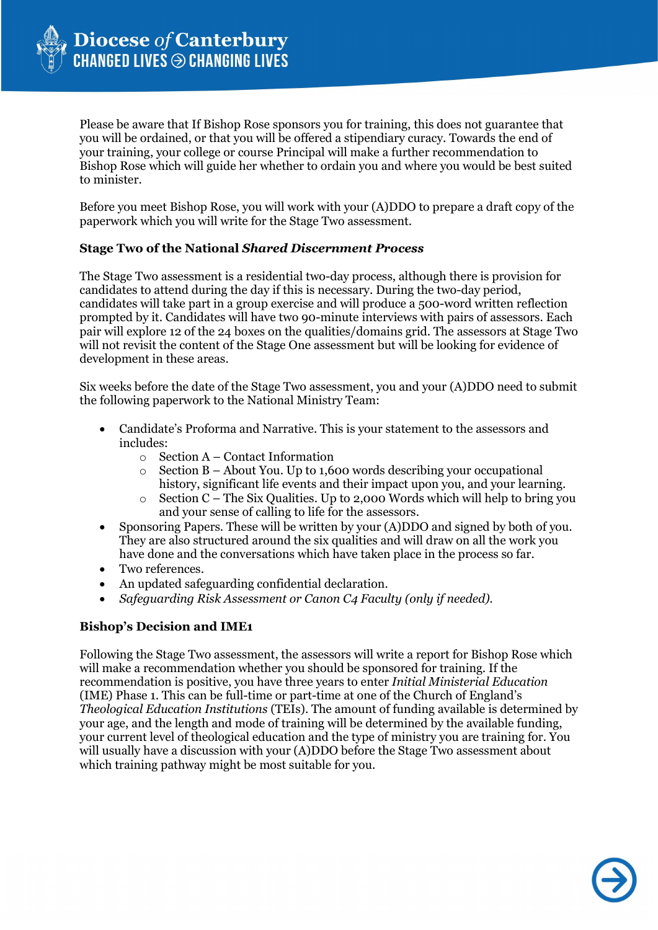

Please be aware that If Bishop Rose sponsors you for training, this does not guarantee that you will be ordained, or that you will be offered a stipendiary curacy. Towards the end of your training, your college or course Principal will make a further recommendation to Bishop Rose which will guide her whether to ordain you and where you would be best suited to minister.

Before you meet Bishop Rose, you will work with your (A)DDO to prepare a draft copy of the paperwork which you will write for the Stage Two assessment.

## **Stage Two of the National** *Shared Discernment Process*

The Stage Two assessment is a residential two-day process, although there is provision for candidates to attend during the day if this is necessary. During the two-day period, candidates will take part in a group exercise and will produce a 500-word written reflection prompted by it. Candidates will have two 90-minute interviews with pairs of assessors. Each pair will explore 12 of the 24 boxes on the qualities/domains grid. The assessors at Stage Two will not revisit the content of the Stage One assessment but will be looking for evidence of development in these areas.

Six weeks before the date of the Stage Two assessment, you and your (A)DDO need to submit the following paperwork to the National Ministry Team:

- Candidate's Proforma and Narrative. This is your statement to the assessors and includes:
	- $\circ$  Section A Contact Information<br> $\circ$  Section B About You. Up to 1.6
	- Section  $B -$  About You. Up to 1,600 words describing your occupational history, significant life events and their impact upon you, and your learning.
	- $\circ$  Section C The Six Qualities. Up to 2,000 Words which will help to bring you and your sense of calling to life for the assessors.
- Sponsoring Papers. These will be written by your (A)DDO and signed by both of you. They are also structured around the six qualities and will draw on all the work you have done and the conversations which have taken place in the process so far.
- Two references.
- An updated safeguarding confidential declaration.
- *Safeguarding Risk Assessment or Canon C4 Faculty (only if needed).*

# **Bishop's Decision and IME1**

Following the Stage Two assessment, the assessors will write a report for Bishop Rose which will make a recommendation whether you should be sponsored for training. If the recommendation is positive, you have three years to enter *Initial Ministerial Education* (IME) Phase 1. This can be full-time or part-time at one of the Church of England's *Theological Education Institutions* (TEIs). The amount of funding available is determined by your age, and the length and mode of training will be determined by the available funding, your current level of theological education and the type of ministry you are training for. You will usually have a discussion with your (A)DDO before the Stage Two assessment about which training pathway might be most suitable for you.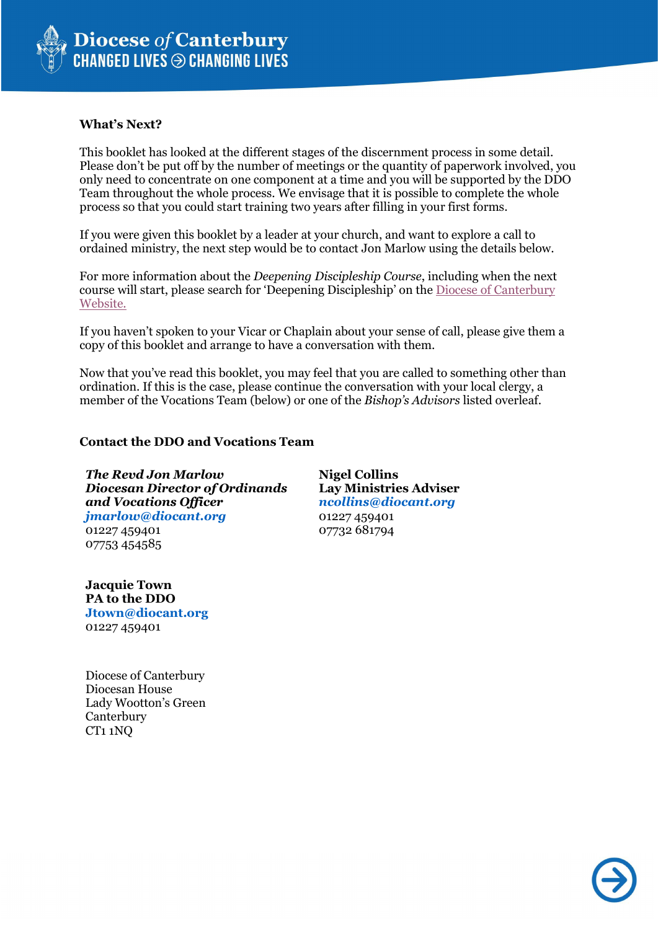

#### **What's Next?**

This booklet has looked at the different stages of the discernment process in some detail. Please don't be put off by the number of meetings or the quantity of paperwork involved, you only need to concentrate on one component at a time and you will be supported by the DDO Team throughout the whole process. We envisage that it is possible to complete the whole process so that you could start training two years after filling in your first forms.

If you were given this booklet by a leader at your church, and want to explore a call to ordained ministry, the next step would be to contact Jon Marlow using the details below.

For more information about the *Deepening Discipleship Course*, including when the next course will start, please search for 'Deepening Discipleship' on the [Diocese of Canterbury](https://www.canterburydiocese.org/our-life/spirituality-discipleship/explore-discipleship/deepening-discipleship/)  [Website.](https://www.canterburydiocese.org/our-life/spirituality-discipleship/explore-discipleship/deepening-discipleship/)

If you haven't spoken to your Vicar or Chaplain about your sense of call, please give them a copy of this booklet and arrange to have a conversation with them.

Now that you've read this booklet, you may feel that you are called to something other than ordination. If this is the case, please continue the conversation with your local clergy, a member of the Vocations Team (below) or one of the *Bishop's Advisors* listed overleaf.

#### **Contact the DDO and Vocations Team**

 *The Revd Jon Marlow Diocesan Director of Ordinands and Vocations Officer jmarlow@diocant.org*  01227 459401

**Nigel Collins Lay Ministries Adviser** *ncollins@diocant.org*  01227 459401 07732 681794

**Jacquie Town PA to the DDO Jtown@diocant.org**  01227 459401

07753 454585

Diocese of Canterbury Diocesan House Lady Wootton's Green **Canterbury** CT1 1NQ

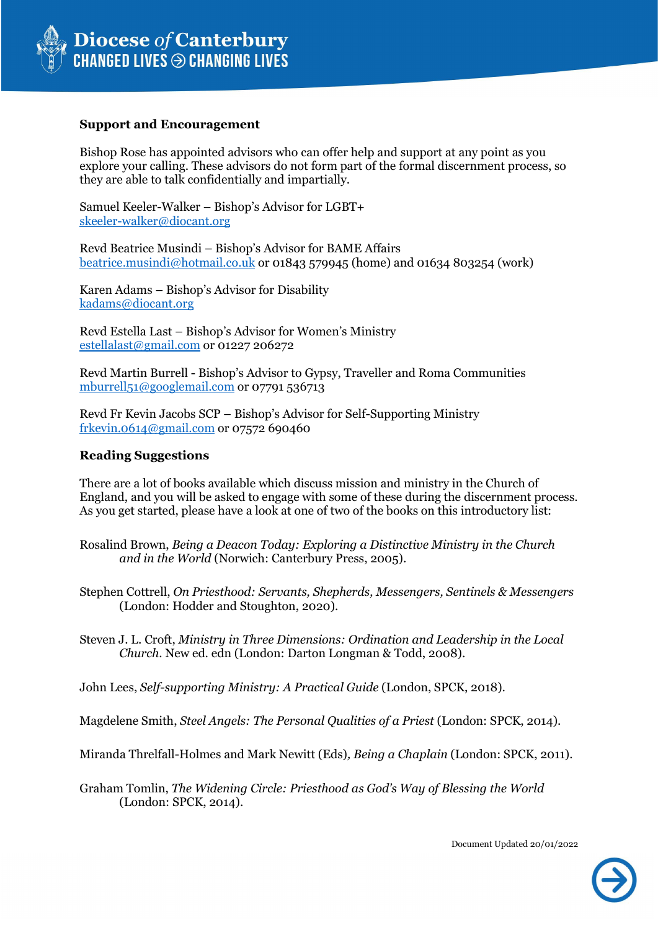

### **Support and Encouragement**

Bishop Rose has appointed advisors who can offer help and support at any point as you explore your calling. These advisors do not form part of the formal discernment process, so they are able to talk confidentially and impartially.

Samuel Keeler-Walker – Bishop's Advisor for LGBT+ [skeeler-walker@diocant.org](mailto:skeeler-walker@diocant.org)

Revd Beatrice Musindi – Bishop's Advisor for BAME Affairs [beatrice.musindi@hotmail.co.uk](mailto:beatrice.musindi@hotmail.co.uk) or 01843 579945 (home) and 01634 803254 (work)

Karen Adams – Bishop's Advisor for Disability [kadams@diocant.org](mailto:kadams@diocant.org)

Revd Estella Last – Bishop's Advisor for Women's Ministry [estellalast@gmail.com](mailto:estellalast@gmail.com) or 01227 206272

Revd Martin Burrell - Bishop's Advisor to Gypsy, Traveller and Roma Communities [mburrell51@googlemail.com](mailto:mburrell51@googlemail.com) or 07791 536713

Revd Fr Kevin Jacobs SCP – Bishop's Advisor for Self-Supporting Ministry [frkevin.0614@gmail.com](mailto:frkevin.0614@gmail.com) or 07572 690460

#### **Reading Suggestions**

There are a lot of books available which discuss mission and ministry in the Church of England, and you will be asked to engage with some of these during the discernment process. As you get started, please have a look at one of two of the books on this introductory list:

Rosalind Brown, *Being a Deacon Today: Exploring a Distinctive Ministry in the Church and in the World* (Norwich: Canterbury Press, 2005).

Stephen Cottrell, *On Priesthood: Servants, Shepherds, Messengers, Sentinels & Messengers*  (London: Hodder and Stoughton, 2020).

Steven J. L. Croft, *Ministry in Three Dimensions: Ordination and Leadership in the Local Church*. New ed. edn (London: Darton Longman & Todd, 2008).

John Lees, *Self-supporting Ministry: A Practical Guide* (London, SPCK, 2018).

Magdelene Smith, *Steel Angels: The Personal Qualities of a Priest* (London: SPCK, 2014).

Miranda Threlfall-Holmes and Mark Newitt (Eds)*, Being a Chaplain* (London: SPCK, 2011).

Graham Tomlin, *The Widening Circle: Priesthood as God's Way of Blessing the World*  (London: SPCK, 2014).